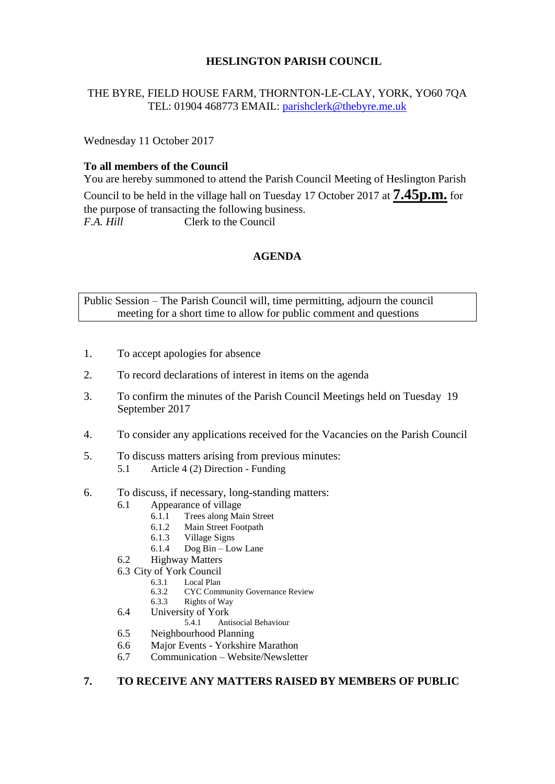### **HESLINGTON PARISH COUNCIL**

# THE BYRE, FIELD HOUSE FARM, THORNTON-LE-CLAY, YORK, YO60 7QA TEL: 01904 468773 EMAIL: [parishclerk@thebyre.me.uk](mailto:parishclerk@thebyre.me.uk)

Wednesday 11 October 2017

### **To all members of the Council**

You are hereby summoned to attend the Parish Council Meeting of Heslington Parish Council to be held in the village hall on Tuesday 17 October 2017 at **7.45p.m.** for the purpose of transacting the following business. *F.A. Hill* Clerk to the Council

# **AGENDA**

Public Session – The Parish Council will, time permitting, adjourn the council meeting for a short time to allow for public comment and questions

- 1. To accept apologies for absence
- 2. To record declarations of interest in items on the agenda
- 3. To confirm the minutes of the Parish Council Meetings held on Tuesday 19 September 2017
- 4. To consider any applications received for the Vacancies on the Parish Council
- 5. To discuss matters arising from previous minutes: 5.1 Article 4 (2) Direction - Funding
- 6. To discuss, if necessary, long-standing matters:
	- 6.1 Appearance of village<br>6.1.1 Trees along Ma
		- Trees along Main Street
		- 6.1.2 Main Street Footpath
		- 6.1.3 Village Signs
		- 6.1.4 Dog Bin Low Lane
	- 6.2 Highway Matters
	- 6.3 City of York Council
		- 6.3.1 Local Plan
			- 6.3.2 CYC Community Governance Review
		- 6.3.3 Rights of Way
	- 6.4 University of York
		- 5.4.1 Antisocial Behaviour
	- 6.5 Neighbourhood Planning
	- 6.6 Major Events Yorkshire Marathon
	- 6.7 Communication Website/Newsletter

# **7. TO RECEIVE ANY MATTERS RAISED BY MEMBERS OF PUBLIC**